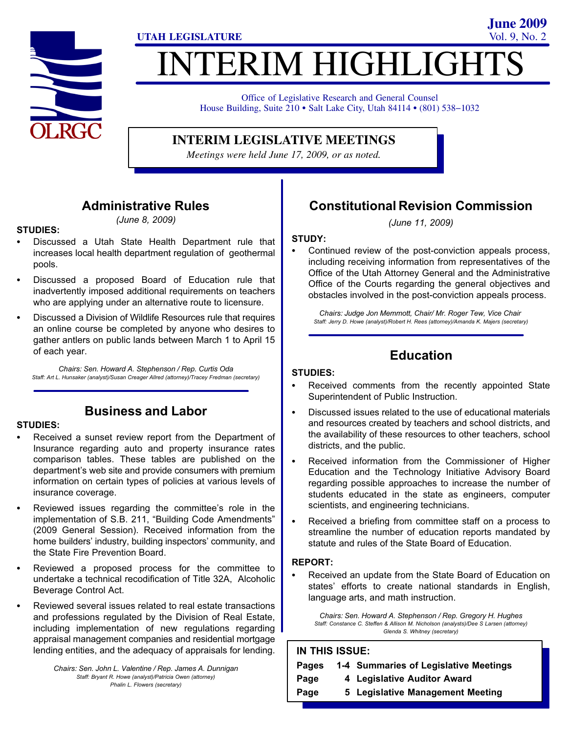

# **ITERIM HIGHLIGHT**

**UTAH LEGISLATURE** Vol. 9, No. 2

Office of Legislative Research and General Counsel Office of Legislative Research and General Counsel<br>House Building, Suite 210 • Salt Lake City, Utah 84114 • (801) 538–1032

## **INTERIM LEGISLATIVE MEETINGS**

*Meetings were held June 17, 2009, or as noted.*

## Administrative Rules

(June 8, 2009)

## STUDIES:<br>-

- Discussed a Utah State Health Department rule that increases local health department regulation of geothermal pools.
- Discussed a proposed Board of Education rule that inadvertently imposed additional requirements on teachers who are applying under an alternative route to licensure.
- Discussed a Division of Wildlife Resources rule that requires an online course be completed by anyone who desires to gather antlers on public lands between March 1 to April 15 of each year.

Chairs: Sen. Howard A. Stephenson / Rep. Curtis Oda Staff: Art L. Hunsaker (analyst)/Susan Creager Allred (attorney)/Tracey Fredman (secretary)

#### Business and Labor

# STUDIES:<br>-

- Received a sunset review report from the Department of Insurance regarding auto and property insurance rates comparison tables. These tables are published on the department's web site and provide consumers with premium information on certain types of policies at various levels of insurance coverage.
- Reviewed issues regarding the committee's role in the implementation of S.B. 211, "Building Code Amendments" (2009 General Session). Received information from the home builders' industry, building inspectors' community, and the State Fire Prevention Board.
- Reviewed a proposed process for the committee to undertake a technical recodification of Title 32A, Alcoholic Beverage Control Act.
- Reviewed several issues related to real estate transactions and professions regulated by the Division of Real Estate, including implementation of new regulations regarding appraisal management companies and residential mortgage lending entities, and the adequacy of appraisals for lending.

Chairs: Sen. John L. Valentine / Rep. James A. Dunnigan Staff: Bryant R. Howe (analyst)/Patricia Owen (attorney) Phalin L. Flowers (secretary)

# Constitutional Revision Commission

**June 2009**

(June 11, 2009)

## STUDY:

 Continued review of the post−conviction appeals process, including receiving information from representatives of the Office of the Utah Attorney General and the Administrative Office of the Courts regarding the general objectives and obstacles involved in the post−conviction appeals process.

Chairs: Judge Jon Memmott, Chair/ Mr. Roger Tew, Vice Chair Staff: Jerry D. Howe (analyst)/Robert H. Rees (attorney)/Amanda K. Majers (secretary)

## Education

# STUDIES: -

- Received comments from the recently appointed State Superintendent of Public Instruction.
- Discussed issues related to the use of educational materials and resources created by teachers and school districts, and the availability of these resources to other teachers, school districts, and the public.
- Received information from the Commissioner of Higher Education and the Technology Initiative Advisory Board regarding possible approaches to increase the number of students educated in the state as engineers, computer scientists, and engineering technicians.
- Received a briefing from committee staff on a process to streamline the number of education reports mandated by statute and rules of the State Board of Education.

## REPORT: -

 Received an update from the State Board of Education on states' efforts to create national standards in English, language arts, and math instruction.

Chairs: Sen. Howard A. Stephenson / Rep. Gregory H. Hughes Staff: Constance C. Steffen & Allison M. Nicholson (analysts)/Dee S Larsen (attorney) Glenda S. Whitney (secretary)

#### IN THIS ISSUE:

| <b>Pages</b> | 1-4 Summaries of Legislative Meetings |
|--------------|---------------------------------------|
| Page         | 4 Legislative Auditor Award           |
| Page         | 5 Legislative Management Meeting      |
|              |                                       |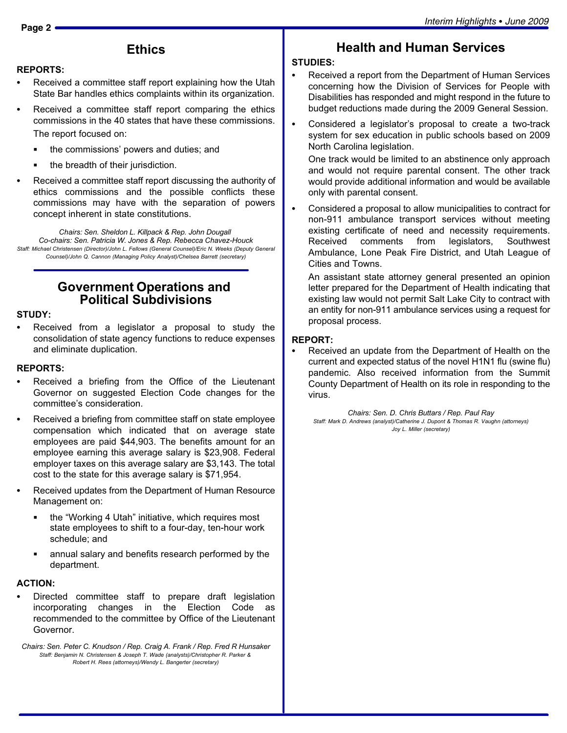#### **Ethics**

# REPORTS: -

- Received a committee staff report explaining how the Utah State Bar handles ethics complaints within its organization.
- Received a committee staff report comparing the ethics commissions in the 40 states that have these commissions. The report focused on:
	- the commissions' powers and duties; and
	- the breadth of their jurisdiction.
- Received a committee staff report discussing the authority of ethics commissions and the possible conflicts these commissions may have with the separation of powers concept inherent in state constitutions.

Chairs: Sen. Sheldon L. Killpack & Rep. John Dougall Co−chairs: Sen. Patricia W. Jones & Rep. Rebecca Chavez−Houck Staff: Michael Christensen (Director)/John L. Fellows (General Counsel)/Eric N. Weeks (Deputy General Counsel)/John Q. Cannon (Managing Policy Analyst)/Chelsea Barrett (secretary)

#### Government Operations and Political Subdivisions

## STUDY: -

 Received from a legislator a proposal to study the consolidation of state agency functions to reduce expenses and eliminate duplication.

## REPORTS:<br>—

- Received a briefing from the Office of the Lieutenant Governor on suggested Election Code changes for the committee's consideration.
- Received a briefing from committee staff on state employee compensation which indicated that on average state employees are paid \$44,903. The benefits amount for an employee earning this average salary is \$23,908. Federal employer taxes on this average salary are \$3,143. The total cost to the state for this average salary is \$71,954.
- Received updates from the Department of Human Resource Management on:
	- **the "Working 4 Utah" initiative, which requires most** state employees to shift to a four−day, ten−hour work schedule; and
	- annual salary and benefits research performed by the department.

## ACTION: -

 Directed committee staff to prepare draft legislation incorporating changes in the Election Code as recommended to the committee by Office of the Lieutenant Governor.

Chairs: Sen. Peter C. Knudson / Rep. Craig A. Frank / Rep. Fred R Hunsaker Staff: Benjamin N. Christensen & Joseph T. Wade (analysts)/Christopher R. Parker & Robert H. Rees (attorneys)/Wendy L. Bangerter (secretary)

#### Health and Human Services

# STUDIES: -

- Received a report from the Department of Human Services concerning how the Division of Services for People with Disabilities has responded and might respond in the future to budget reductions made during the 2009 General Session.
- Considered a legislator's proposal to create a two−track system for sex education in public schools based on 2009 North Carolina legislation.

One track would be limited to an abstinence only approach and would not require parental consent. The other track would provide additional information and would be available only with parental consent.

 Considered a proposal to allow municipalities to contract for non−911 ambulance transport services without meeting existing certificate of need and necessity requirements. Received comments from legislators, Southwest Ambulance, Lone Peak Fire District, and Utah League of Cities and Towns.

An assistant state attorney general presented an opinion letter prepared for the Department of Health indicating that existing law would not permit Salt Lake City to contract with an entity for non−911 ambulance services using a request for proposal process.

#### REPORT: -

 Received an update from the Department of Health on the current and expected status of the novel H1N1 flu (swine flu) pandemic. Also received information from the Summit County Department of Health on its role in responding to the virus.

Chairs: Sen. D. Chris Buttars / Rep. Paul Ray Staff: Mark D. Andrews (analyst)/Catherine J. Dupont & Thomas R. Vaughn (attorneys) Joy L. Miller (secretary)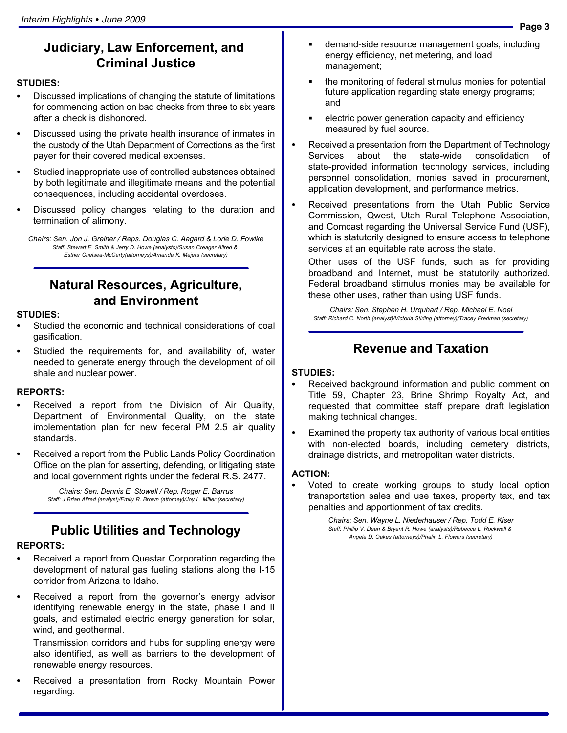## Judiciary, Law Enforcement, and Criminal Justice

# STUDIES:<br>--

- Discussed implications of changing the statute of limitations for commencing action on bad checks from three to six years after a check is dishonored.
- Discussed using the private health insurance of inmates in the custody of the Utah Department of Corrections as the first payer for their covered medical expenses.
- Studied inappropriate use of controlled substances obtained by both legitimate and illegitimate means and the potential consequences, including accidental overdoses.
- Discussed policy changes relating to the duration and termination of alimony.

Chairs: Sen. Jon J. Greiner / Reps. Douglas C. Aagard & Lorie D. Fowlke Staff: Stewart E. Smith & Jerry D. Howe (analysts)/Susan Creager Allred & Esther Chelsea−McCarty(attorneys)/Amanda K. Majers (secretary)

## Natural Resources, Agriculture, and Environment

#### STUDIES:

- Studied the economic and technical considerations of coal gasification.
- Studied the requirements for, and availability of, water needed to generate energy through the development of oil shale and nuclear power.

## REPORTS: -

- Received a report from the Division of Air Quality, Department of Environmental Quality, on the state implementation plan for new federal PM 2.5 air quality standards.
- Received a report from the Public Lands Policy Coordination Office on the plan for asserting, defending, or litigating state and local government rights under the federal R.S. 2477.

Chairs: Sen. Dennis E. Stowell / Rep. Roger E. Barrus Staff: J Brian Allred (analyst)/Emily R. Brown (attorney)/Joy L. Miller (secretary)

## Public Utilities and Technology

## REPORTS: -

- Received a report from Questar Corporation regarding the development of natural gas fueling stations along the I−15 corridor from Arizona to Idaho.
- Received a report from the governor's energy advisor identifying renewable energy in the state, phase I and II goals, and estimated electric energy generation for solar, wind, and geothermal.

Transmission corridors and hubs for suppling energy were also identified, as well as barriers to the development of renewable energy resources.

 Received a presentation from Rocky Mountain Power regarding:

- demand−side resource management goals, including energy efficiency, net metering, and load management;
- the monitoring of federal stimulus monies for potential future application regarding state energy programs; and
- electric power generation capacity and efficiency measured by fuel source.
- Received a presentation from the Department of Technology Services about the state−wide consolidation of state−provided information technology services, including personnel consolidation, monies saved in procurement, application development, and performance metrics.
- Received presentations from the Utah Public Service Commission, Qwest, Utah Rural Telephone Association, and Comcast regarding the Universal Service Fund (USF), which is statutorily designed to ensure access to telephone services at an equitable rate across the state.

Other uses of the USF funds, such as for providing broadband and Internet, must be statutorily authorized. Federal broadband stimulus monies may be available for these other uses, rather than using USF funds.

Chairs: Sen. Stephen H. Urquhart / Rep. Michael E. Noel Staff: Richard C. North (analyst)/Victoria Stirling (attorney)/Tracey Fredman (secretary)

## Revenue and Taxation

## STUDIES: -

- Received background information and public comment on Title 59, Chapter 23, Brine Shrimp Royalty Act, and requested that committee staff prepare draft legislation making technical changes.
- Examined the property tax authority of various local entities with non−elected boards, including cemetery districts, drainage districts, and metropolitan water districts.

#### ACTION:

 Voted to create working groups to study local option transportation sales and use taxes, property tax, and tax penalties and apportionment of tax credits.

> Chairs: Sen. Wayne L. Niederhauser / Rep. Todd E. Kiser Staff: Phillip V. Dean & Bryant R. Howe (analysts)/Rebecca L. Rockwell & Angela D. Oakes (attorneys)/Phalin L. Flowers (secretary)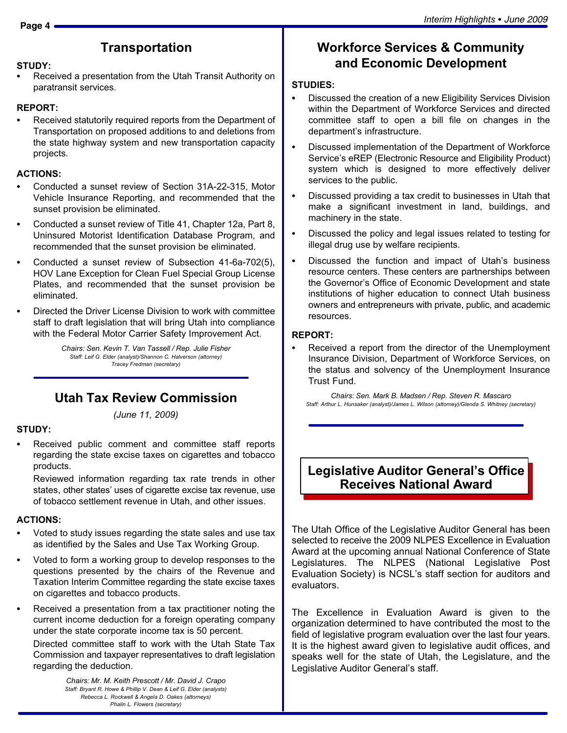#### **Transportation**

#### STUDY: -

 Received a presentation from the Utah Transit Authority on paratransit services.

## REPORT: -

 Received statutorily required reports from the Department of Transportation on proposed additions to and deletions from the state highway system and new transportation capacity projects.

## ACTIONS: -

- Conducted a sunset review of Section 31A−22−315, Motor Vehicle Insurance Reporting, and recommended that the sunset provision be eliminated.
- Conducted a sunset review of Title 41, Chapter 12a, Part 8, Uninsured Motorist Identification Database Program, and recommended that the sunset provision be eliminated.
- Conducted a sunset review of Subsection 41−6a−702(5), HOV Lane Exception for Clean Fuel Special Group License Plates, and recommended that the sunset provision be eliminated.
- Directed the Driver License Division to work with committee staff to draft legislation that will bring Utah into compliance with the Federal Motor Carrier Safety Improvement Act.

Chairs: Sen. Kevin T. Van Tassell / Rep. Julie Fisher Staff: Leif G. Elder (analyst)/Shannon C. Halverson (attorney) Tracey Fredman (secretary)

#### Utah Tax Review Commission

(June 11, 2009)

#### STUDY:

 Received public comment and committee staff reports regarding the state excise taxes on cigarettes and tobacco products.

Reviewed information regarding tax rate trends in other states, other states' uses of cigarette excise tax revenue, use of tobacco settlement revenue in Utah, and other issues.

## ACTIONS: -

- Voted to study issues regarding the state sales and use tax as identified by the Sales and Use Tax Working Group.
- Voted to form a working group to develop responses to the questions presented by the chairs of the Revenue and Taxation Interim Committee regarding the state excise taxes on cigarettes and tobacco products.

 Received a presentation from a tax practitioner noting the current income deduction for a foreign operating company under the state corporate income tax is 50 percent. Directed committee staff to work with the Utah State Tax

Commission and taxpayer representatives to draft legislation regarding the deduction.

> Chairs: Mr. M. Keith Prescott / Mr. David J. Crapo Staff: Bryant R. Howe & Phillip V. Dean & Leif G. Elder (analysts) Rebecca L. Rockwell & Angela D. Oakes (attorneys) Phalin L. Flowers (secretary)

#### Workforce Services & Community and Economic Development

## STUDIES:<br>-

- Discussed the creation of a new Eligibility Services Division within the Department of Workforce Services and directed committee staff to open a bill file on changes in the department's infrastructure.
- Discussed implementation of the Department of Workforce Service's eREP (Electronic Resource and Eligibility Product) system which is designed to more effectively deliver services to the public.
- Discussed providing a tax credit to businesses in Utah that make a significant investment in land, buildings, and machinery in the state.
- Discussed the policy and legal issues related to testing for illegal drug use by welfare recipients.
- Discussed the function and impact of Utah's business resource centers. These centers are partnerships between the Governor's Office of Economic Development and state institutions of higher education to connect Utah business owners and entrepreneurs with private, public, and academic resources.

## REPORT:

 Received a report from the director of the Unemployment Insurance Division, Department of Workforce Services, on the status and solvency of the Unemployment Insurance Trust Fund.

Chairs: Sen. Mark B. Madsen / Rep. Steven R. Mascaro Staff: Arthur L. Hunsaker (analyst)/James L. Wilson (attorney)/Glenda S. Whitney (secretary)

## Legislative Auditor General's Office Receives National Award

The Utah Office of the Legislative Auditor General has been selected to receive the 2009 NLPES Excellence in Evaluation Award at the upcoming annual National Conference of State Legislatures. The NLPES (National Legislative Post Evaluation Society) is NCSL´s staff section for auditors and evaluators.

The Excellence in Evaluation Award is given to the organization determined to have contributed the most to the field of legislative program evaluation over the last four years. It is the highest award given to legislative audit offices, and speaks well for the state of Utah, the Legislature, and the Legislative Auditor General's staff.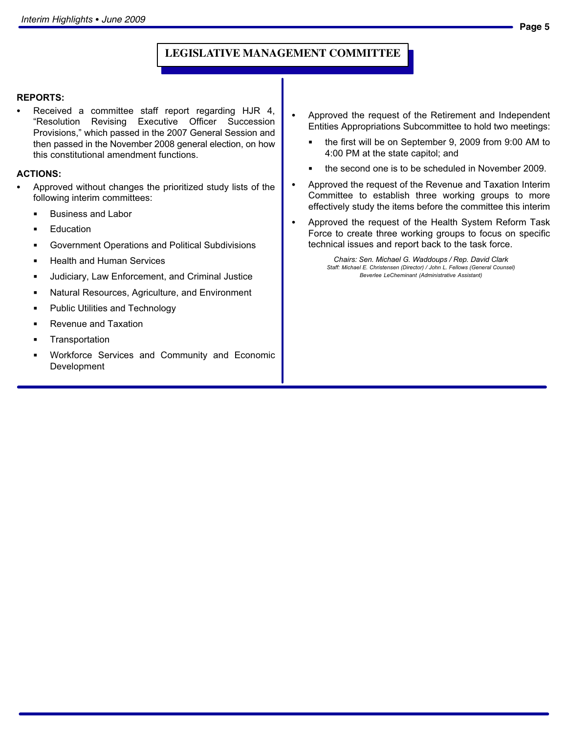#### **LEGISLATIVE MANAGEMENT COMMITTEE**

## REPORTS:<br>—

 Received a committee staff report regarding HJR 4, -Resolution Revising Executive Officer Succession Provisions," which passed in the 2007 General Session and then passed in the November 2008 general election, on how this constitutional amendment functions.

## ACTIONS: -

- Approved without changes the prioritized study lists of the following interim committees:
	- $\blacksquare$ Business and Labor
	- Education
	- Government Operations and Political Subdivisions
	- Health and Human Services
	- Judiciary, Law Enforcement, and Criminal Justice
	- Natural Resources, Agriculture, and Environment
	- Public Utilities and Technology
	- Revenue and Taxation
	- **Transportation**
	- Workforce Services and Community and Economic Development
- Approved the request of the Retirement and Independent Entities Appropriations Subcommittee to hold two meetings:
	- the first will be on September 9, 2009 from 9:00 AM to 4:00 PM at the state capitol; and
	- the second one is to be scheduled in November 2009.
- Approved the request of the Revenue and Taxation Interim Committee to establish three working groups to more effectively study the items before the committee this interim
- Approved the request of the Health System Reform Task Force to create three working groups to focus on specific technical issues and report back to the task force.

Chairs: Sen. Michael G. Waddoups / Rep. David Clark Staff: Michael E. Christensen (Director) / John L. Fellows (General Counsel) Beverlee LeCheminant (Administrative Assistant)